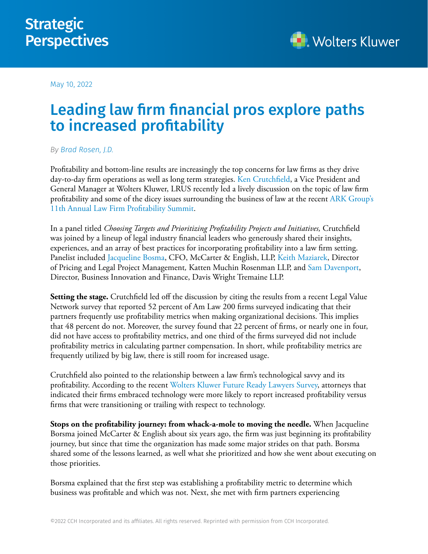

May 10, 2022

## Leading law firm financial pros explore paths to increased profitability

## *By [Brad Rosen, J.D.](https://www.linkedin.com/in/brad-rosen-551b736/)*

Profitability and bottom-line results are increasingly the top concerns for law firms as they drive day-to-day firm operations as well as long term strategies. [Ken Crutchfield](https://www.linkedin.com/in/ken-crutchfield-95b79/), a Vice President and General Manager at Wolters Kluwer, LRUS recently led a lively discussion on the topic of law firm profitability and some of the dicey issues surrounding the business of law at the recent [ARK Group's](https://www.lawfirmprofsummit.com/)  [11th Annual Law Firm Profitability Summit](https://www.lawfirmprofsummit.com/).

In a panel titled *Choosing Targets and Prioritizing Profitability Projects and Initiatives,* Crutchfield was joined by a lineup of legal industry financial leaders who generously shared their insights, experiences, and an array of best practices for incorporating profitability into a law firm setting. Panelist included [Jacqueline Bosma](https://www.linkedin.com/in/jacqueline-bosma-09a3558/), CFO, McCarter & English, LLP, [Keith Maziarek](https://www.linkedin.com/in/keithmaziarek/), Director of Pricing and Legal Project Management*,* Katten Muchin Rosenman LLP, and [Sam Davenport,](https://www.linkedin.com/in/samueltydavenport/) Director, Business Innovation and Finance, Davis Wright Tremaine LLP.

**Setting the stage.** Crutchfield led off the discussion by citing the results from a recent Legal Value Network survey that reported 52 percent of Am Law 200 firms surveyed indicating that their partners frequently use profitability metrics when making organizational decisions. This implies that 48 percent do not. Moreover, the survey found that 22 percent of firms, or nearly one in four, did not have access to profitability metrics, and one third of the firms surveyed did not include profitability metrics in calculating partner compensation. In short, while profitability metrics are frequently utilized by big law, there is still room for increased usage.

Crutchfield also pointed to the relationship between a law firm's technological savvy and its profitability. According to the recent [Wolters Kluwer Future Ready Lawyers Survey](https://www.wolterskluwer.com/en/know/future-ready-lawyer-2021), attorneys that indicated their firms embraced technology were more likely to report increased profitability versus firms that were transitioning or trailing with respect to technology.

**Stops on the profitability journey: from whack-a-mole to moving the needle.** When Jacqueline Borsma joined McCarter & English about six years ago, the firm was just beginning its profitability journey, but since that time the organization has made some major strides on that path. Borsma shared some of the lessons learned, as well what she prioritized and how she went about executing on those priorities.

Borsma explained that the first step was establishing a profitability metric to determine which business was profitable and which was not. Next, she met with firm partners experiencing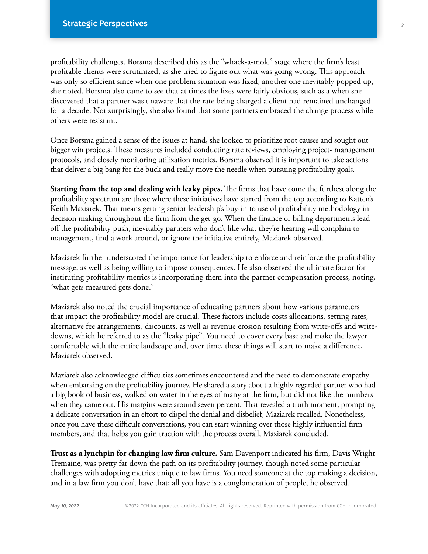profitability challenges. Borsma described this as the "whack-a-mole" stage where the firm's least profitable clients were scrutinized, as she tried to figure out what was going wrong. This approach was only so efficient since when one problem situation was fixed, another one inevitably popped up, she noted. Borsma also came to see that at times the fixes were fairly obvious, such as a when she discovered that a partner was unaware that the rate being charged a client had remained unchanged for a decade. Not surprisingly, she also found that some partners embraced the change process while others were resistant.

Once Borsma gained a sense of the issues at hand, she looked to prioritize root causes and sought out bigger win projects. These measures included conducting rate reviews, employing project- management protocols, and closely monitoring utilization metrics. Borsma observed it is important to take actions that deliver a big bang for the buck and really move the needle when pursuing profitability goals.

**Starting from the top and dealing with leaky pipes.** The firms that have come the furthest along the profitability spectrum are those where these initiatives have started from the top according to Katten's Keith Maziarek. That means getting senior leadership's buy-in to use of profitability methodology in decision making throughout the firm from the get-go. When the finance or billing departments lead off the profitability push, inevitably partners who don't like what they're hearing will complain to management, find a work around, or ignore the initiative entirely, Maziarek observed.

Maziarek further underscored the importance for leadership to enforce and reinforce the profitability message, as well as being willing to impose consequences. He also observed the ultimate factor for instituting profitability metrics is incorporating them into the partner compensation process, noting, "what gets measured gets done."

Maziarek also noted the crucial importance of educating partners about how various parameters that impact the profitability model are crucial. These factors include costs allocations, setting rates, alternative fee arrangements, discounts, as well as revenue erosion resulting from write-offs and writedowns, which he referred to as the "leaky pipe". You need to cover every base and make the lawyer comfortable with the entire landscape and, over time, these things will start to make a difference, Maziarek observed.

Maziarek also acknowledged difficulties sometimes encountered and the need to demonstrate empathy when embarking on the profitability journey. He shared a story about a highly regarded partner who had a big book of business, walked on water in the eyes of many at the firm, but did not like the numbers when they came out. His margins were around seven percent. That revealed a truth moment, prompting a delicate conversation in an effort to dispel the denial and disbelief, Maziarek recalled. Nonetheless, once you have these difficult conversations, you can start winning over those highly influential firm members, and that helps you gain traction with the process overall, Maziarek concluded.

**Trust as a lynchpin for changing law firm culture.** Sam Davenport indicated his firm, Davis Wright Tremaine, was pretty far down the path on its profitability journey, though noted some particular challenges with adopting metrics unique to law firms. You need someone at the top making a decision, and in a law firm you don't have that; all you have is a conglomeration of people, he observed.